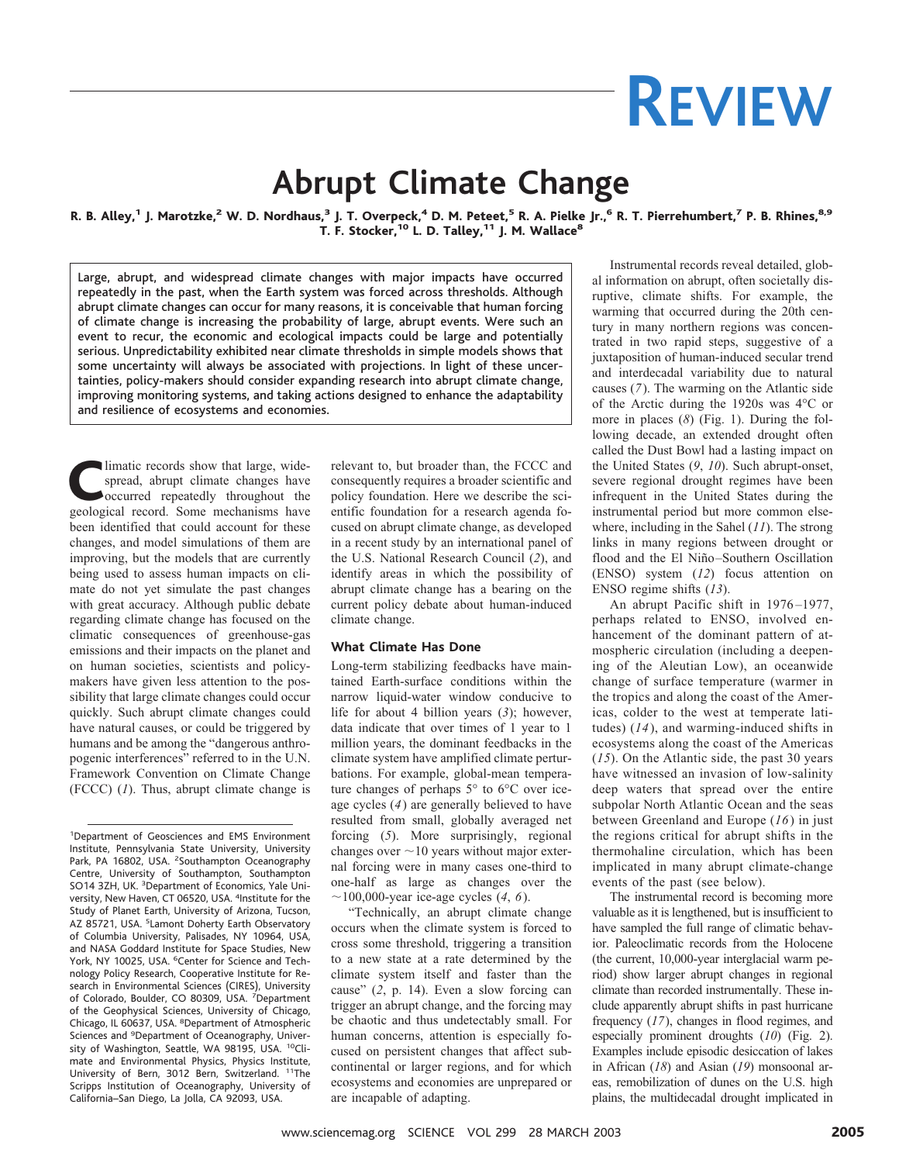# **REVIEW**

# **Abrupt Climate Change**

R. B. Alley,<sup>1</sup> J. Marotzke,<sup>2</sup> W. D. Nordhaus,<sup>3</sup> J. T. Overpeck,<sup>4</sup> D. M. Peteet,<sup>5</sup> R. A. Pielke Jr.,<sup>6</sup> R. T. Pierrehumbert,<sup>7</sup> P. B. Rhines,<sup>8,9</sup> T. F. Stocker,<sup>10</sup> L. D. Talley,<sup>11</sup> J. M. Wallace<sup>8</sup>

Large, abrupt, and widespread climate changes with major impacts have occurred repeatedly in the past, when the Earth system was forced across thresholds. Although abrupt climate changes can occur for many reasons, it is conceivable that human forcing of climate change is increasing the probability of large, abrupt events. Were such an event to recur, the economic and ecological impacts could be large and potentially serious. Unpredictability exhibited near climate thresholds in simple models shows that some uncertainty will always be associated with projections. In light of these uncertainties, policy-makers should consider expanding research into abrupt climate change, improving monitoring systems, and taking actions designed to enhance the adaptability and resilience of ecosystems and economies.

Iimatic records show that large, wide-<br>spread, abrupt climate changes have<br>occurred repeatedly throughout the<br>geological record. Some mechanisms have spread, abrupt climate changes have occurred repeatedly throughout the geological record. Some mechanisms have been identified that could account for these changes, and model simulations of them are improving, but the models that are currently being used to assess human impacts on climate do not yet simulate the past changes with great accuracy. Although public debate regarding climate change has focused on the climatic consequences of greenhouse-gas emissions and their impacts on the planet and on human societies, scientists and policymakers have given less attention to the possibility that large climate changes could occur quickly. Such abrupt climate changes could have natural causes, or could be triggered by humans and be among the "dangerous anthropogenic interferences" referred to in the U.N. Framework Convention on Climate Change (FCCC) (*1*). Thus, abrupt climate change is

relevant to, but broader than, the FCCC and consequently requires a broader scientific and policy foundation. Here we describe the scientific foundation for a research agenda focused on abrupt climate change, as developed in a recent study by an international panel of the U.S. National Research Council (*2*), and identify areas in which the possibility of abrupt climate change has a bearing on the current policy debate about human-induced climate change.

## **What Climate Has Done**

Long-term stabilizing feedbacks have maintained Earth-surface conditions within the narrow liquid-water window conducive to life for about 4 billion years (*3*); however, data indicate that over times of 1 year to 1 million years, the dominant feedbacks in the climate system have amplified climate perturbations. For example, global-mean temperature changes of perhaps 5° to 6°C over iceage cycles (*4*) are generally believed to have resulted from small, globally averaged net forcing (*5*). More surprisingly, regional changes over  $\sim$  10 years without major external forcing were in many cases one-third to one-half as large as changes over the  $\sim$ 100,000-year ice-age cycles (4, 6).

"Technically, an abrupt climate change occurs when the climate system is forced to cross some threshold, triggering a transition to a new state at a rate determined by the climate system itself and faster than the cause" (*2*, p. 14). Even a slow forcing can trigger an abrupt change, and the forcing may be chaotic and thus undetectably small. For human concerns, attention is especially focused on persistent changes that affect subcontinental or larger regions, and for which ecosystems and economies are unprepared or are incapable of adapting.

Instrumental records reveal detailed, global information on abrupt, often societally disruptive, climate shifts. For example, the warming that occurred during the 20th century in many northern regions was concentrated in two rapid steps, suggestive of a juxtaposition of human-induced secular trend and interdecadal variability due to natural causes (*7*). The warming on the Atlantic side of the Arctic during the 1920s was 4°C or more in places (*8*) (Fig. 1). During the following decade, an extended drought often called the Dust Bowl had a lasting impact on the United States (*9*, *10*). Such abrupt-onset, severe regional drought regimes have been infrequent in the United States during the instrumental period but more common elsewhere, including in the Sahel (*11*). The strong links in many regions between drought or flood and the El Niño-Southern Oscillation (ENSO) system (*12*) focus attention on ENSO regime shifts (*13*).

An abrupt Pacific shift in 1976–1977, perhaps related to ENSO, involved enhancement of the dominant pattern of atmospheric circulation (including a deepening of the Aleutian Low), an oceanwide change of surface temperature (warmer in the tropics and along the coast of the Americas, colder to the west at temperate latitudes) (*14*), and warming-induced shifts in ecosystems along the coast of the Americas (*15*). On the Atlantic side, the past 30 years have witnessed an invasion of low-salinity deep waters that spread over the entire subpolar North Atlantic Ocean and the seas between Greenland and Europe (*16*) in just the regions critical for abrupt shifts in the thermohaline circulation, which has been implicated in many abrupt climate-change events of the past (see below).

The instrumental record is becoming more valuable as it is lengthened, but is insufficient to have sampled the full range of climatic behavior. Paleoclimatic records from the Holocene (the current, 10,000-year interglacial warm period) show larger abrupt changes in regional climate than recorded instrumentally. These include apparently abrupt shifts in past hurricane frequency (*17*), changes in flood regimes, and especially prominent droughts (*10*) (Fig. 2). Examples include episodic desiccation of lakes in African (*18*) and Asian (*19*) monsoonal areas, remobilization of dunes on the U.S. high plains, the multidecadal drought implicated in

<sup>1</sup> Department of Geosciences and EMS Environment Institute, Pennsylvania State University, University Park, PA 16802, USA. <sup>2</sup>Southampton Oceanography Centre, University of Southampton, Southampton SO14 3ZH, UK. <sup>3</sup>Department of Economics, Yale University, New Haven, CT 06520, USA. <sup>4</sup>Institute for the Study of Planet Earth, University of Arizona, Tucson, AZ 85721, USA. <sup>5</sup> Lamont Doherty Earth Observatory of Columbia University, Palisades, NY 10964, USA, and NASA Goddard Institute for Space Studies, New York, NY 10025, USA. <sup>6</sup>Center for Science and Technology Policy Research, Cooperative Institute for Research in Environmental Sciences (CIRES), University of Colorado, Boulder, CO 80309, USA. <sup>7</sup>Department of the Geophysical Sciences, University of Chicago, Chicago, IL 60637, USA. <sup>8</sup>Department of Atmospheric Sciences and <sup>9</sup>Department of Oceanography, University of Washington, Seattle, WA 98195, USA. <sup>10</sup>Climate and Environmental Physics, Physics Institute, University of Bern, 3012 Bern, Switzerland. <sup>11</sup>The Scripps Institution of Oceanography, University of California–San Diego, La Jolla, CA 92093, USA.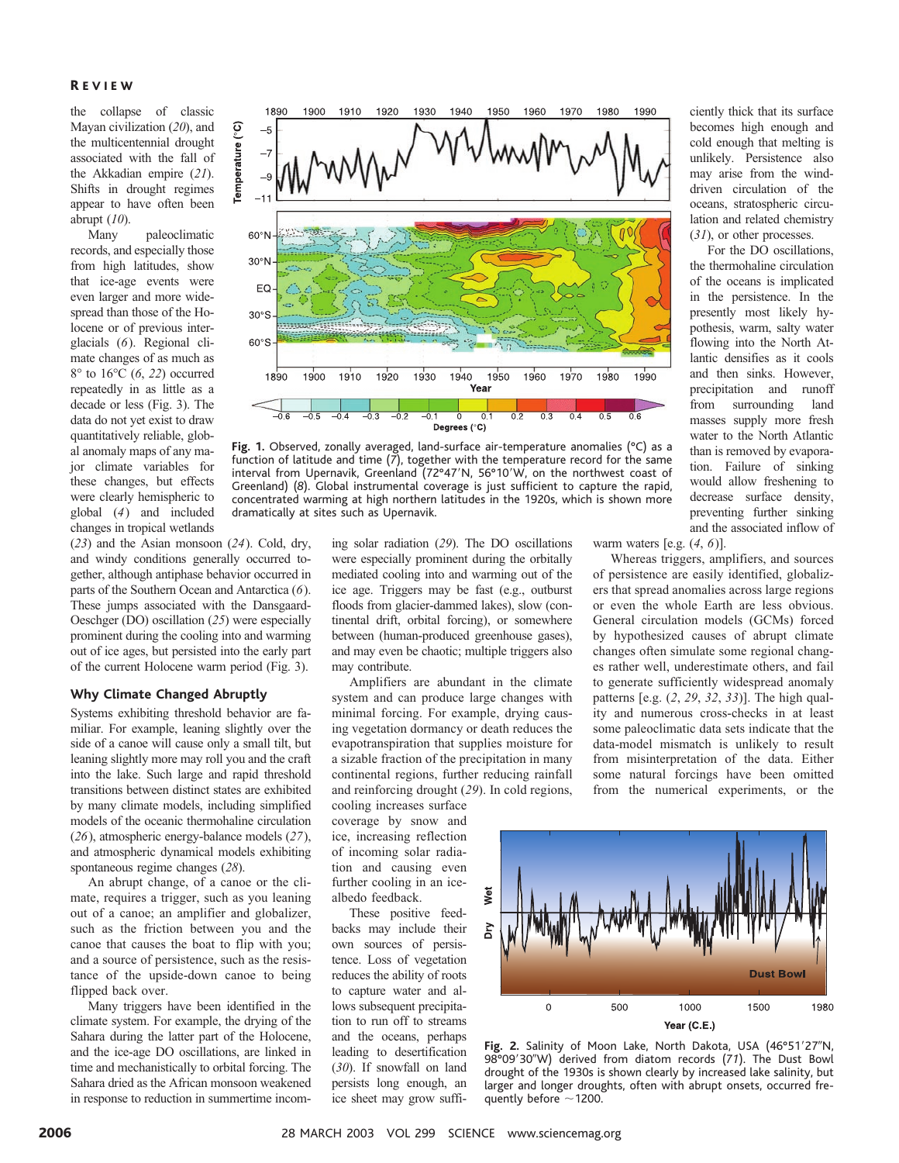the collapse of classic Mayan civilization (*20*), and the multicentennial drought associated with the fall of the Akkadian empire (*21*). Shifts in drought regimes appear to have often been abrupt (*10*).

Many paleoclimatic records, and especially those from high latitudes, show that ice-age events were even larger and more widespread than those of the Holocene or of previous interglacials (*6*). Regional climate changes of as much as 8° to 16°C (*6*, *22*) occurred repeatedly in as little as a decade or less (Fig. 3). The data do not yet exist to draw quantitatively reliable, global anomaly maps of any major climate variables for these changes, but effects were clearly hemispheric to global (*4*) and included changes in tropical wetlands

(*23*) and the Asian monsoon (*24*). Cold, dry, and windy conditions generally occurred together, although antiphase behavior occurred in parts of the Southern Ocean and Antarctica (*6*). These jumps associated with the Dansgaard-Oeschger (DO) oscillation (*25*) were especially prominent during the cooling into and warming out of ice ages, but persisted into the early part of the current Holocene warm period (Fig. 3).

# **Why Climate Changed Abruptly**

Systems exhibiting threshold behavior are familiar. For example, leaning slightly over the side of a canoe will cause only a small tilt, but leaning slightly more may roll you and the craft into the lake. Such large and rapid threshold transitions between distinct states are exhibited by many climate models, including simplified models of the oceanic thermohaline circulation (*26*), atmospheric energy-balance models (*27*), and atmospheric dynamical models exhibiting spontaneous regime changes (*28*).

An abrupt change, of a canoe or the climate, requires a trigger, such as you leaning out of a canoe; an amplifier and globalizer, such as the friction between you and the canoe that causes the boat to flip with you; and a source of persistence, such as the resistance of the upside-down canoe to being flipped back over.

Many triggers have been identified in the climate system. For example, the drying of the Sahara during the latter part of the Holocene, and the ice-age DO oscillations, are linked in time and mechanistically to orbital forcing. The Sahara dried as the African monsoon weakened in response to reduction in summertime incom-



**Fig. 1.** Observed, zonally averaged, land-surface air-temperature anomalies (°C) as a function of latitude and time (7), together with the temperature record for the same interval from Upernavik, Greenland (72°47'N, 56°10'W, on the northwest coast of Greenland) (*8*). Global instrumental coverage is just sufficient to capture the rapid, concentrated warming at high northern latitudes in the 1920s, which is shown more dramatically at sites such as Upernavik.

ing solar radiation (*29*). The DO oscillations were especially prominent during the orbitally mediated cooling into and warming out of the ice age. Triggers may be fast (e.g., outburst floods from glacier-dammed lakes), slow (continental drift, orbital forcing), or somewhere between (human-produced greenhouse gases), and may even be chaotic; multiple triggers also may contribute.

Amplifiers are abundant in the climate system and can produce large changes with minimal forcing. For example, drying causing vegetation dormancy or death reduces the evapotranspiration that supplies moisture for a sizable fraction of the precipitation in many continental regions, further reducing rainfall and reinforcing drought (*29*). In cold regions,

cooling increases surface coverage by snow and ice, increasing reflection of incoming solar radiation and causing even further cooling in an icealbedo feedback.

These positive feedbacks may include their own sources of persistence. Loss of vegetation reduces the ability of roots to capture water and allows subsequent precipitation to run off to streams and the oceans, perhaps leading to desertification (*30*). If snowfall on land persists long enough, an ice sheet may grow suffiwarm waters [e.g. (*4*, *6*)].

Whereas triggers, amplifiers, and sources of persistence are easily identified, globalizers that spread anomalies across large regions or even the whole Earth are less obvious. General circulation models (GCMs) forced by hypothesized causes of abrupt climate changes often simulate some regional changes rather well, underestimate others, and fail to generate sufficiently widespread anomaly patterns [e.g. (*2*, *29*, *32*, *33*)]. The high quality and numerous cross-checks in at least some paleoclimatic data sets indicate that the data-model mismatch is unlikely to result from misinterpretation of the data. Either some natural forcings have been omitted from the numerical experiments, or the



Fig. 2. Salinity of Moon Lake, North Dakota, USA (46°51'27"N, 98°09'30"W) derived from diatom records (71). The Dust Bowl drought of the 1930s is shown clearly by increased lake salinity, but larger and longer droughts, often with abrupt onsets, occurred frequently before  $\sim$  1200.

ciently thick that its surface becomes high enough and cold enough that melting is unlikely. Persistence also may arise from the winddriven circulation of the oceans, stratospheric circulation and related chemistry (*31*), or other processes.

For the DO oscillations, the thermohaline circulation of the oceans is implicated in the persistence. In the presently most likely hypothesis, warm, salty water flowing into the North Atlantic densifies as it cools and then sinks. However, precipitation and runoff from surrounding land masses supply more fresh water to the North Atlantic than is removed by evaporation. Failure of sinking would allow freshening to decrease surface density, preventing further sinking and the associated inflow of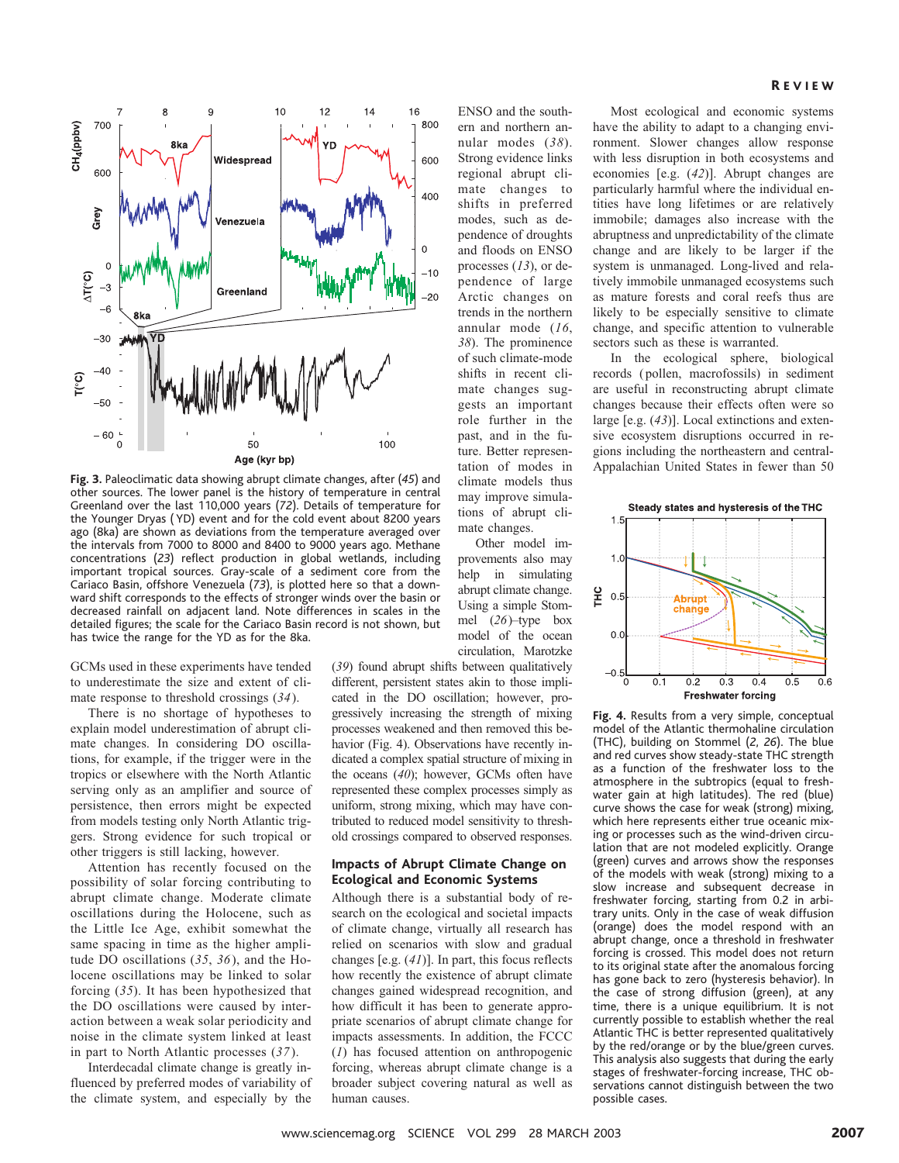

**Fig. 3.** Paleoclimatic data showing abrupt climate changes, after (*45*) and other sources. The lower panel is the history of temperature in central Greenland over the last 110,000 years (*72*). Details of temperature for the Younger Dryas ( YD) event and for the cold event about 8200 years ago (8ka) are shown as deviations from the temperature averaged over the intervals from 7000 to 8000 and 8400 to 9000 years ago. Methane concentrations (*23*) reflect production in global wetlands, including important tropical sources. Gray-scale of a sediment core from the Cariaco Basin, offshore Venezuela (*73*), is plotted here so that a downward shift corresponds to the effects of stronger winds over the basin or decreased rainfall on adjacent land. Note differences in scales in the detailed figures; the scale for the Cariaco Basin record is not shown, but has twice the range for the YD as for the 8ka.

GCMs used in these experiments have tended to underestimate the size and extent of climate response to threshold crossings (*34*).

There is no shortage of hypotheses to explain model underestimation of abrupt climate changes. In considering DO oscillations, for example, if the trigger were in the tropics or elsewhere with the North Atlantic serving only as an amplifier and source of persistence, then errors might be expected from models testing only North Atlantic triggers. Strong evidence for such tropical or other triggers is still lacking, however.

Attention has recently focused on the possibility of solar forcing contributing to abrupt climate change. Moderate climate oscillations during the Holocene, such as the Little Ice Age, exhibit somewhat the same spacing in time as the higher amplitude DO oscillations (*35*, *36*), and the Holocene oscillations may be linked to solar forcing (*35*). It has been hypothesized that the DO oscillations were caused by interaction between a weak solar periodicity and noise in the climate system linked at least in part to North Atlantic processes (*37*).

Interdecadal climate change is greatly influenced by preferred modes of variability of the climate system, and especially by the ENSO and the southern and northern annular modes (*38*). Strong evidence links regional abrupt climate changes to shifts in preferred modes, such as dependence of droughts and floods on ENSO processes (*13*), or dependence of large Arctic changes on trends in the northern annular mode (*16*, *38*). The prominence of such climate-mode shifts in recent climate changes suggests an important role further in the past, and in the future. Better representation of modes in climate models thus may improve simulations of abrupt climate changes.

Other model improvements also may help in simulating abrupt climate change. Using a simple Stommel (*26*)–type box model of the ocean circulation, Marotzke

(*39*) found abrupt shifts between qualitatively different, persistent states akin to those implicated in the DO oscillation; however, progressively increasing the strength of mixing processes weakened and then removed this behavior (Fig. 4). Observations have recently indicated a complex spatial structure of mixing in the oceans (*40*); however, GCMs often have represented these complex processes simply as uniform, strong mixing, which may have contributed to reduced model sensitivity to threshold crossings compared to observed responses.

# **Impacts of Abrupt Climate Change on Ecological and Economic Systems**

Although there is a substantial body of research on the ecological and societal impacts of climate change, virtually all research has relied on scenarios with slow and gradual changes [e.g. (*41*)]. In part, this focus reflects how recently the existence of abrupt climate changes gained widespread recognition, and how difficult it has been to generate appropriate scenarios of abrupt climate change for impacts assessments. In addition, the FCCC (*1*) has focused attention on anthropogenic forcing, whereas abrupt climate change is a broader subject covering natural as well as human causes.

Most ecological and economic systems have the ability to adapt to a changing environment. Slower changes allow response with less disruption in both ecosystems and economies [e.g. (*42*)]. Abrupt changes are particularly harmful where the individual entities have long lifetimes or are relatively immobile; damages also increase with the abruptness and unpredictability of the climate change and are likely to be larger if the system is unmanaged. Long-lived and relatively immobile unmanaged ecosystems such as mature forests and coral reefs thus are likely to be especially sensitive to climate change, and specific attention to vulnerable sectors such as these is warranted.

In the ecological sphere, biological records (pollen, macrofossils) in sediment are useful in reconstructing abrupt climate changes because their effects often were so large [e.g. (*43*)]. Local extinctions and extensive ecosystem disruptions occurred in regions including the northeastern and central-Appalachian United States in fewer than 50





**Fig. 4.** Results from a very simple, conceptual model of the Atlantic thermohaline circulation (THC), building on Stommel (*2*, *26*). The blue and red curves show steady-state THC strength as a function of the freshwater loss to the atmosphere in the subtropics (equal to freshwater gain at high latitudes). The red (blue) curve shows the case for weak (strong) mixing, which here represents either true oceanic mixing or processes such as the wind-driven circulation that are not modeled explicitly. Orange (green) curves and arrows show the responses of the models with weak (strong) mixing to a slow increase and subsequent decrease in freshwater forcing, starting from 0.2 in arbitrary units. Only in the case of weak diffusion (orange) does the model respond with an abrupt change, once a threshold in freshwater forcing is crossed. This model does not return to its original state after the anomalous forcing has gone back to zero (hysteresis behavior). In the case of strong diffusion (green), at any time, there is a unique equilibrium. It is not currently possible to establish whether the real Atlantic THC is better represented qualitatively by the red/orange or by the blue/green curves. This analysis also suggests that during the early stages of freshwater-forcing increase, THC observations cannot distinguish between the two possible cases.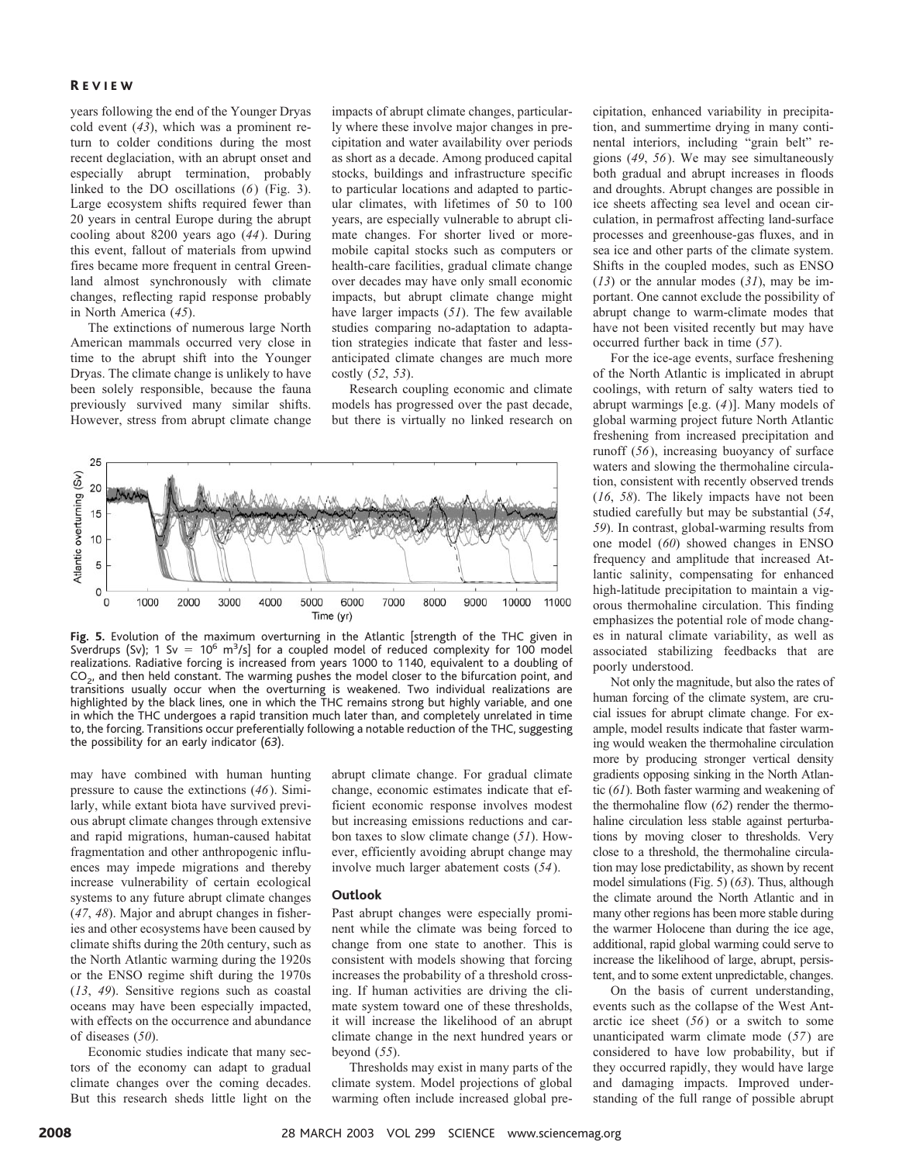#### R EVIEW

years following the end of the Younger Dryas cold event (*43*), which was a prominent return to colder conditions during the most recent deglaciation, with an abrupt onset and especially abrupt termination, probably linked to the DO oscillations (*6*) (Fig. 3). Large ecosystem shifts required fewer than 20 years in central Europe during the abrupt cooling about 8200 years ago (*44*). During this event, fallout of materials from upwind fires became more frequent in central Greenland almost synchronously with climate changes, reflecting rapid response probably in North America (*45*).

The extinctions of numerous large North American mammals occurred very close in time to the abrupt shift into the Younger Dryas. The climate change is unlikely to have been solely responsible, because the fauna previously survived many similar shifts. However, stress from abrupt climate change

impacts of abrupt climate changes, particularly where these involve major changes in precipitation and water availability over periods as short as a decade. Among produced capital stocks, buildings and infrastructure specific to particular locations and adapted to particular climates, with lifetimes of 50 to 100 years, are especially vulnerable to abrupt climate changes. For shorter lived or moremobile capital stocks such as computers or health-care facilities, gradual climate change over decades may have only small economic impacts, but abrupt climate change might have larger impacts (*51*). The few available studies comparing no-adaptation to adaptation strategies indicate that faster and lessanticipated climate changes are much more costly (*52*, *53*).

Research coupling economic and climate models has progressed over the past decade, but there is virtually no linked research on



**Fig. 5.** Evolution of the maximum overturning in the Atlantic [strength of the THC given in Sverdrups (Sv); 1 Sv = 10<sup>6</sup> m<sup>3</sup>/s] for a coupled model of reduced complexity for 100 model realizations. Radiative forcing is increased from years 1000 to 1140, equivalent to a doubling of  $CO<sub>2</sub>$ , and then held constant. The warming pushes the model closer to the bifurcation point, and transitions usually occur when the overturning is weakened. Two individual realizations are highlighted by the black lines, one in which the THC remains strong but highly variable, and one in which the THC undergoes a rapid transition much later than, and completely unrelated in time to, the forcing. Transitions occur preferentially following a notable reduction of the THC, suggesting the possibility for an early indicator (*63*).

may have combined with human hunting pressure to cause the extinctions (*46*). Similarly, while extant biota have survived previous abrupt climate changes through extensive and rapid migrations, human-caused habitat fragmentation and other anthropogenic influences may impede migrations and thereby increase vulnerability of certain ecological systems to any future abrupt climate changes (*47*, *48*). Major and abrupt changes in fisheries and other ecosystems have been caused by climate shifts during the 20th century, such as the North Atlantic warming during the 1920s or the ENSO regime shift during the 1970s (*13*, *49*). Sensitive regions such as coastal oceans may have been especially impacted, with effects on the occurrence and abundance of diseases (*50*).

Economic studies indicate that many sectors of the economy can adapt to gradual climate changes over the coming decades. But this research sheds little light on the

abrupt climate change. For gradual climate change, economic estimates indicate that efficient economic response involves modest but increasing emissions reductions and carbon taxes to slow climate change (*51*). However, efficiently avoiding abrupt change may involve much larger abatement costs (*54*).

### **Outlook**

Past abrupt changes were especially prominent while the climate was being forced to change from one state to another. This is consistent with models showing that forcing increases the probability of a threshold crossing. If human activities are driving the climate system toward one of these thresholds, it will increase the likelihood of an abrupt climate change in the next hundred years or beyond (*55*).

Thresholds may exist in many parts of the climate system. Model projections of global warming often include increased global precipitation, enhanced variability in precipitation, and summertime drying in many continental interiors, including "grain belt" regions (*49*, *56*). We may see simultaneously both gradual and abrupt increases in floods and droughts. Abrupt changes are possible in ice sheets affecting sea level and ocean circulation, in permafrost affecting land-surface processes and greenhouse-gas fluxes, and in sea ice and other parts of the climate system. Shifts in the coupled modes, such as ENSO (*13*) or the annular modes (*31*), may be important. One cannot exclude the possibility of abrupt change to warm-climate modes that have not been visited recently but may have occurred further back in time (*57*).

For the ice-age events, surface freshening of the North Atlantic is implicated in abrupt coolings, with return of salty waters tied to abrupt warmings [e.g. (*4*)]. Many models of global warming project future North Atlantic freshening from increased precipitation and runoff (*56*), increasing buoyancy of surface waters and slowing the thermohaline circulation, consistent with recently observed trends (*16*, *58*). The likely impacts have not been studied carefully but may be substantial (*54*, *59*). In contrast, global-warming results from one model (*60*) showed changes in ENSO frequency and amplitude that increased Atlantic salinity, compensating for enhanced high-latitude precipitation to maintain a vigorous thermohaline circulation. This finding emphasizes the potential role of mode changes in natural climate variability, as well as associated stabilizing feedbacks that are poorly understood.

Not only the magnitude, but also the rates of human forcing of the climate system, are crucial issues for abrupt climate change. For example, model results indicate that faster warming would weaken the thermohaline circulation more by producing stronger vertical density gradients opposing sinking in the North Atlantic (*61*). Both faster warming and weakening of the thermohaline flow (*62*) render the thermohaline circulation less stable against perturbations by moving closer to thresholds. Very close to a threshold, the thermohaline circulation may lose predictability, as shown by recent model simulations (Fig. 5) (*63*). Thus, although the climate around the North Atlantic and in many other regions has been more stable during the warmer Holocene than during the ice age, additional, rapid global warming could serve to increase the likelihood of large, abrupt, persistent, and to some extent unpredictable, changes.

On the basis of current understanding, events such as the collapse of the West Antarctic ice sheet (*56*) or a switch to some unanticipated warm climate mode (*57*) are considered to have low probability, but if they occurred rapidly, they would have large and damaging impacts. Improved understanding of the full range of possible abrupt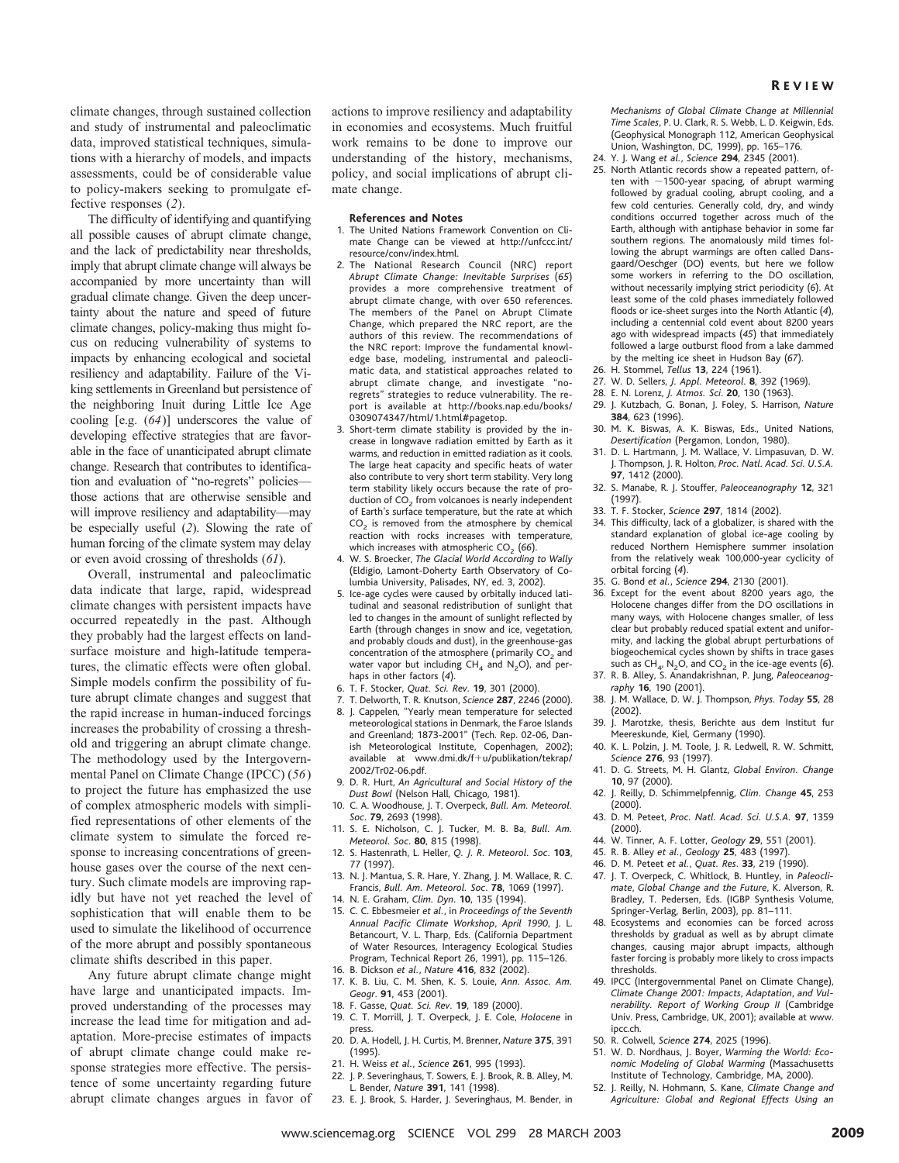climate changes, through sustained collection and study of instrumental and paleoclimatic data, improved statistical techniques, simulations with a hierarchy of models, and impacts assessments, could be of considerable value to policy-makers seeking to promulgate effective responses (*2*).

The difficulty of identifying and quantifying all possible causes of abrupt climate change, and the lack of predictability near thresholds, imply that abrupt climate change will always be accompanied by more uncertainty than will gradual climate change. Given the deep uncertainty about the nature and speed of future climate changes, policy-making thus might focus on reducing vulnerability of systems to impacts by enhancing ecological and societal resiliency and adaptability. Failure of the Viking settlements in Greenland but persistence of the neighboring Inuit during Little Ice Age cooling [e.g. (*64*)] underscores the value of developing effective strategies that are favorable in the face of unanticipated abrupt climate change. Research that contributes to identification and evaluation of "no-regrets" policies those actions that are otherwise sensible and will improve resiliency and adaptability—may be especially useful (*2*). Slowing the rate of human forcing of the climate system may delay or even avoid crossing of thresholds (*61*).

Overall, instrumental and paleoclimatic data indicate that large, rapid, widespread climate changes with persistent impacts have occurred repeatedly in the past. Although they probably had the largest effects on landsurface moisture and high-latitude temperatures, the climatic effects were often global. Simple models confirm the possibility of future abrupt climate changes and suggest that the rapid increase in human-induced forcings increases the probability of crossing a threshold and triggering an abrupt climate change. The methodology used by the Intergovernmental Panel on Climate Change (IPCC) (*56*) to project the future has emphasized the use of complex atmospheric models with simplified representations of other elements of the climate system to simulate the forced response to increasing concentrations of greenhouse gases over the course of the next century. Such climate models are improving rapidly but have not yet reached the level of sophistication that will enable them to be used to simulate the likelihood of occurrence of the more abrupt and possibly spontaneous climate shifts described in this paper.

Any future abrupt climate change might have large and unanticipated impacts. Improved understanding of the processes may increase the lead time for mitigation and adaptation. More-precise estimates of impacts of abrupt climate change could make response strategies more effective. The persistence of some uncertainty regarding future abrupt climate changes argues in favor of

actions to improve resiliency and adaptability in economies and ecosystems. Much fruitful work remains to be done to improve our understanding of the history, mechanisms, policy, and social implications of abrupt climate change.

#### **References and Notes**

- 1. The United Nations Framework Convention on Climate Change can be viewed at http://unfccc.int/ resource/conv/index.html.
- 2. The National Research Council (NRC) report *Abrupt Climate Change: Inevitable Surprises* (*65*) provides a more comprehensive treatment of abrupt climate change, with over 650 references. The members of the Panel on Abrupt Climate Change, which prepared the NRC report, are the authors of this review. The recommendations of the NRC report: Improve the fundamental knowledge base, modeling, instrumental and paleoclimatic data, and statistical approaches related to abrupt climate change, and investigate "noregrets" strategies to reduce vulnerability. The report is available at http://books.nap.edu/books/ 0309074347/html/1.html#pagetop.
- 3. Short-term climate stability is provided by the increase in longwave radiation emitted by Earth as it warms, and reduction in emitted radiation as it cools. The large heat capacity and specific heats of water also contribute to very short term stability. Very long term stability likely occurs because the rate of production of  $CO<sub>2</sub>$  from volcanoes is nearly independent of Earth's surface temperature, but the rate at which CO<sub>2</sub> is removed from the atmosphere by chemical reaction with rocks increases with temperature, which increases with atmospheric CO<sub>2</sub> (66).
- 4. W. S. Broecker, *The Glacial World According to Wally* (Eldigio, Lamont-Doherty Earth Observatory of Columbia University, Palisades, NY, ed. 3, 2002).
- 5. Ice-age cycles were caused by orbitally induced latitudinal and seasonal redistribution of sunlight that led to changes in the amount of sunlight reflected by Earth (through changes in snow and ice, vegetation, and probably clouds and dust), in the greenhouse-gas concentration of the atmosphere (primarily  $CO<sub>2</sub>$  and water vapor but including CH<sub>4</sub> and N<sub>2</sub>O), and perhaps in other factors (*4*).
- 6. T. F. Stocker, *Quat. Sci. Rev*. **19**, 301 (2000).
- 7. T. Delworth, T. R. Knutson, *Science* **287**, 2246 (2000). 8. J. Cappelen, "Yearly mean temperature for selected meteorological stations in Denmark, the Faroe Islands and Greenland; 1873-2001" (Tech. Rep. 02-06, Danish Meteorological Institute, Copenhagen, 2002);  $a$ vailable at www.dmi.dk/f+u/publikation/tekrap/ 2002/Tr02-06.pdf.
- 9. D. R. Hurt, *An Agricultural and Social History of the Dust Bowl* (Nelson Hall, Chicago, 1981).
- 10. C. A. Woodhouse, J. T. Overpeck, *Bull. Am. Meteorol. Soc*. **79**, 2693 (1998).
- 11. S. E. Nicholson, C. J. Tucker, M. B. Ba, *Bull. Am. Meteorol. Soc*. **80**, 815 (1998).
- 12. S. Hastenrath, L. Heller, *Q. J. R. Meteorol. Soc*. **103**, 77 (1997).
- 13. N. J. Mantua, S. R. Hare, Y. Zhang, J. M. Wallace, R. C. Francis, *Bull. Am. Meteorol. Soc*. **78**, 1069 (1997).
- 14. N. E. Graham, *Clim. Dyn*. **10**, 135 (1994). 15. C. C. Ebbesmeier *et al.*, in *Proceedings of the Seventh*
- *Annual Pacific Climate Workshop*, *April 1990*, J. L. Betancourt, V. L. Tharp, Eds. (California Department of Water Resources, Interagency Ecological Studies Program, Technical Report 26, 1991), pp. 115–126.
- 16. B. Dickson *et al.*, *Nature* **416**, 832 (2002). 17. K. B. Liu, C. M. Shen, K. S. Louie, *Ann. Assoc. Am.*
- *Geogr*. **91**, 453 (2001).
- 18. F. Gasse, *Quat. Sci. Rev*. **19**, 189 (2000).
- 19. C. T. Morrill, J. T. Overpeck, J. E. Cole, *Holocene* in press.
- 20. D. A. Hodell, J. H. Curtis, M. Brenner, *Nature* **375**, 391 (1995).
- 21. H. Weiss *et al.*, *Science* **261**, 995 (1993). 22. J. P. Severinghaus, T. Sowers, E. J. Brook, R. B. Alley, M.
- L. Bender, *Nature* **391**, 141 (1998).
- 23. E. J. Brook, S. Harder, J. Severinghaus, M. Bender, in

*Mechanisms of Global Climate Change at Millennial Time Scales*, P. U. Clark, R. S. Webb, L. D. Keigwin, Eds. (Geophysical Monograph 112, American Geophysical Union, Washington, DC, 1999), pp. 165–176.

- 24. Y. J. Wang *et al.*, *Science* **294**, 2345 (2001).
- 25. North Atlantic records show a repeated pattern, often with  $\sim$ 1500-year spacing, of abrupt warming followed by gradual cooling, abrupt cooling, and a few cold centuries. Generally cold, dry, and windy conditions occurred together across much of the Earth, although with antiphase behavior in some far southern regions. The anomalously mild times following the abrupt warmings are often called Dansgaard/Oeschger (DO) events, but here we follow some workers in referring to the DO oscillation, without necessarily implying strict periodicity (*6*). At least some of the cold phases immediately followed floods or ice-sheet surges into the North Atlantic (*4*), including a centennial cold event about 8200 years ago with widespread impacts (*45*) that immediately followed a large outburst flood from a lake dammed by the melting ice sheet in Hudson Bay (*67*).
- 26. H. Stommel, *Tellus* **13**, 224 (1961).
- 27. W. D. Sellers, *J. Appl. Meteorol*. **8**, 392 (1969).
- 28. E. N. Lorenz, *J. Atmos. Sci*. **20**, 130(1963).
- 29. J. Kutzbach, G. Bonan, J. Foley, S. Harrison, *Nature* **384**, 623 (1996). 30. M. K. Biswas, A. K. Biswas, Eds., United Nations,
- *Desertification* (Pergamon, London, 1980).
- 31. D. L. Hartmann, J. M. Wallace, V. Limpasuvan, D. W. J. Thompson, J. R. Holton, *Proc. Natl. Acad. Sci. U.S.A.* **97**, 1412 (2000).
- 32. S. Manabe, R. J. Stouffer, *Paleoceanography* **12**, 321 (1997).
- 33. T. F. Stocker, *Science* **297**, 1814 (2002).
- 34. This difficulty, lack of a globalizer, is shared with the standard explanation of global ice-age cooling by reduced Northern Hemisphere summer insolation from the relatively weak 100,000-year cyclicity of orbital forcing (*4*).
- 35. G. Bond *et al.*, *Science* **294**, 2130 (2001).
- 36. Except for the event about 8200 years ago, the Holocene changes differ from the DO oscillations in many ways, with Holocene changes smaller, of less clear but probably reduced spatial extent and uniformity, and lacking the global abrupt perturbations of biogeochemical cycles shown by shifts in trace gases such as CH<sub>4</sub>, N<sub>2</sub>O, and CO<sub>2</sub> in the ice-age events (6).
- 37. R. B. Alley, S. Anandakrishnan, P. Jung, *Paleoceanography* **16**, 190 (2001).
- 38. J. M. Wallace, D. W. J. Thompson, *Phys. Today* **55**, 28 (2002).
- 39. J. Marotzke, thesis, Berichte aus dem Institut fur Meereskunde, Kiel, Germany (1990).
- 40. K. L. Polzin, J. M. Toole, J. R. Ledwell, R. W. Schmitt, *Science* **276**, 93 (1997).
- 41. D. G. Streets, M. H. Glantz, *Global Environ. Change* **10**, 97 (2000)
- 42. J. Reilly, D. Schimmelpfennig, *Clim. Change* **45**, 253 (2000).
- 43. D. M. Peteet, *Proc. Natl. Acad. Sci. U.S.A.* **97**, 1359 (2000).
- 44. W. Tinner, A. F. Lotter, *Geology* **29**, 551 (2001).
- 45. R. B. Alley *et al.*, *Geology* **25**, 483 (1997).
- 46. D. M. Peteet *et al.*, *Quat. Res*. **33**, 219 (1990).
- 47. J. T. Overpeck, C. Whitlock, B. Huntley, in *Paleoclimate*, *Global Change and the Future*, K. Alverson, R. Bradley, T. Pedersen, Eds. (IGBP Synthesis Volume, Springer-Verlag, Berlin, 2003), pp. 81–111.
- 48. Ecosystems and economies can be forced across thresholds by gradual as well as by abrupt climate changes, causing major abrupt impacts, although faster forcing is probably more likely to cross impacts thresholds.
- 49. IPCC (Intergovernmental Panel on Climate Change), *Climate Change 2001: Impacts*, *Adaptation*, *and Vulnerability. Report of Working Group II* (Cambridge Univ. Press, Cambridge, UK, 2001); available at www. ipcc.ch.
- 50. R. Colwell, *Science* **274**, 2025 (1996).
- 51. W. D. Nordhaus, J. Boyer, *Warming the World: Economic Modeling of Global Warming* (Massachusetts Institute of Technology, Cambridge, MA, 2000).
- 52. J. Reilly, N. Hohmann, S. Kane, *Climate Change and Agriculture: Global and Regional Effects Using an*